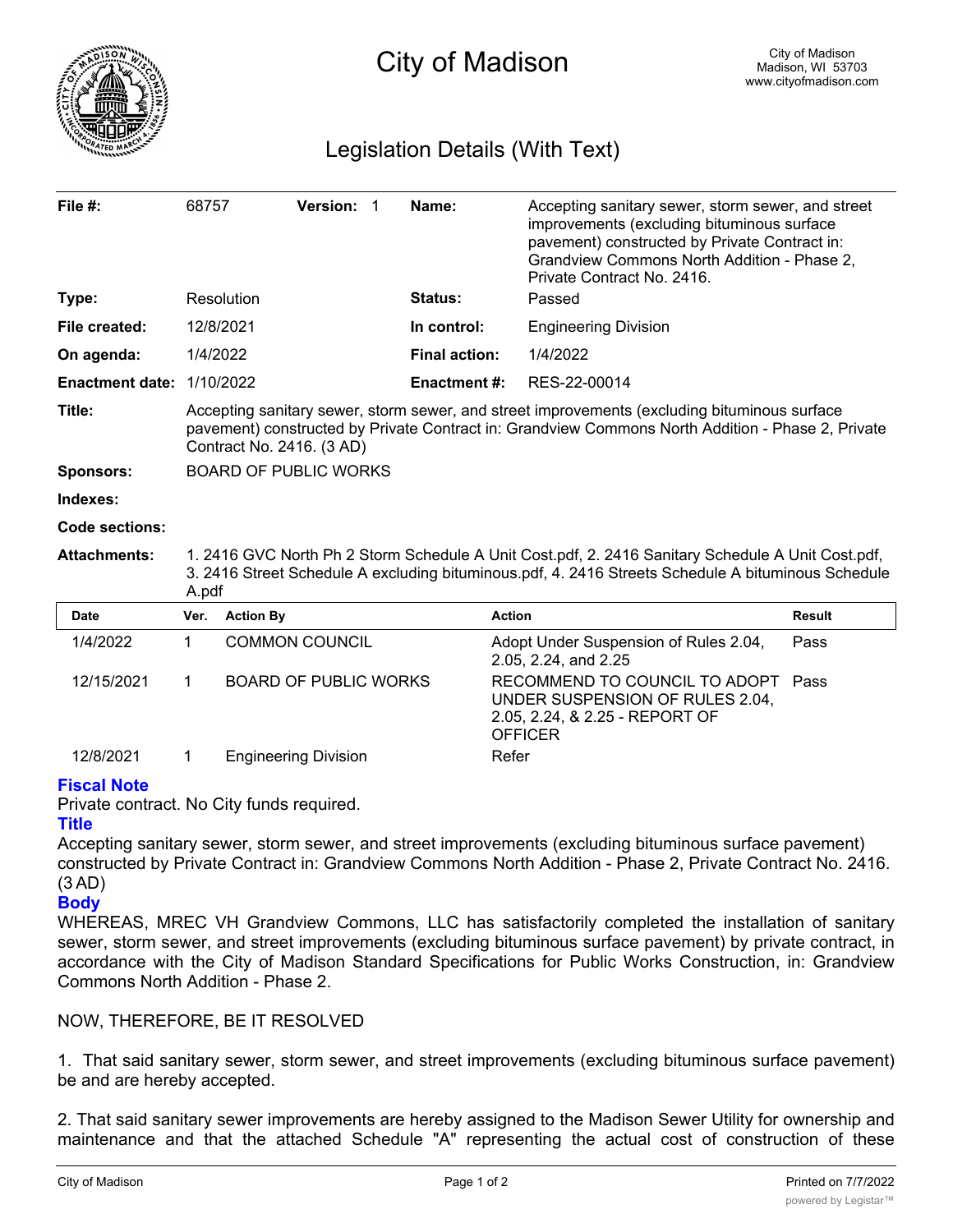

# Legislation Details (With Text)

| File $#$ :             | 68757                                                                                                                                                                                                                          |                              | <b>Version:</b> | -1 | Name:                | Accepting sanitary sewer, storm sewer, and street<br>improvements (excluding bituminous surface<br>pavement) constructed by Private Contract in:<br>Grandview Commons North Addition - Phase 2,<br>Private Contract No. 2416. |        |
|------------------------|--------------------------------------------------------------------------------------------------------------------------------------------------------------------------------------------------------------------------------|------------------------------|-----------------|----|----------------------|-------------------------------------------------------------------------------------------------------------------------------------------------------------------------------------------------------------------------------|--------|
| Type:                  |                                                                                                                                                                                                                                | Resolution                   |                 |    | <b>Status:</b>       | Passed                                                                                                                                                                                                                        |        |
| File created:          |                                                                                                                                                                                                                                | 12/8/2021                    |                 |    | In control:          | <b>Engineering Division</b>                                                                                                                                                                                                   |        |
| On agenda:             | 1/4/2022                                                                                                                                                                                                                       |                              |                 |    | <b>Final action:</b> | 1/4/2022                                                                                                                                                                                                                      |        |
| <b>Enactment date:</b> |                                                                                                                                                                                                                                | 1/10/2022                    |                 |    | <b>Enactment#:</b>   | RES-22-00014                                                                                                                                                                                                                  |        |
| Title:                 | Accepting sanitary sewer, storm sewer, and street improvements (excluding bituminous surface<br>pavement) constructed by Private Contract in: Grandview Commons North Addition - Phase 2, Private<br>Contract No. 2416. (3 AD) |                              |                 |    |                      |                                                                                                                                                                                                                               |        |
| Sponsors:              | <b>BOARD OF PUBLIC WORKS</b>                                                                                                                                                                                                   |                              |                 |    |                      |                                                                                                                                                                                                                               |        |
| Indexes:               |                                                                                                                                                                                                                                |                              |                 |    |                      |                                                                                                                                                                                                                               |        |
| <b>Code sections:</b>  |                                                                                                                                                                                                                                |                              |                 |    |                      |                                                                                                                                                                                                                               |        |
| <b>Attachments:</b>    | 1. 2416 GVC North Ph 2 Storm Schedule A Unit Cost.pdf, 2. 2416 Sanitary Schedule A Unit Cost.pdf,<br>3. 2416 Street Schedule A excluding bituminous.pdf, 4. 2416 Streets Schedule A bituminous Schedule<br>A.pdf               |                              |                 |    |                      |                                                                                                                                                                                                                               |        |
| <b>Date</b>            | Ver.                                                                                                                                                                                                                           | <b>Action By</b>             |                 |    |                      | <b>Action</b>                                                                                                                                                                                                                 | Result |
| 1/4/2022               | 1                                                                                                                                                                                                                              | <b>COMMON COUNCIL</b>        |                 |    |                      | Adopt Under Suspension of Rules 2.04,<br>2.05, 2.24, and 2.25                                                                                                                                                                 | Pass   |
| 12/15/2021             | 1                                                                                                                                                                                                                              | <b>BOARD OF PUBLIC WORKS</b> |                 |    |                      | RECOMMEND TO COUNCIL TO ADOPT<br>UNDER SUSPENSION OF RULES 2.04,<br>2.05, 2.24, & 2.25 - REPORT OF<br><b>OFFICER</b>                                                                                                          | Pass   |
| 12/8/2021              | 1                                                                                                                                                                                                                              | <b>Engineering Division</b>  |                 |    |                      | Refer                                                                                                                                                                                                                         |        |

## **Fiscal Note**

Private contract. No City funds required.

## **Title**

Accepting sanitary sewer, storm sewer, and street improvements (excluding bituminous surface pavement) constructed by Private Contract in: Grandview Commons North Addition - Phase 2, Private Contract No. 2416. (3 AD)

#### **Body**

WHEREAS, MREC VH Grandview Commons, LLC has satisfactorily completed the installation of sanitary sewer, storm sewer, and street improvements (excluding bituminous surface pavement) by private contract, in accordance with the City of Madison Standard Specifications for Public Works Construction, in: Grandview Commons North Addition - Phase 2.

## NOW, THEREFORE, BE IT RESOLVED

1. That said sanitary sewer, storm sewer, and street improvements (excluding bituminous surface pavement) be and are hereby accepted.

2. That said sanitary sewer improvements are hereby assigned to the Madison Sewer Utility for ownership and maintenance and that the attached Schedule "A" representing the actual cost of construction of these